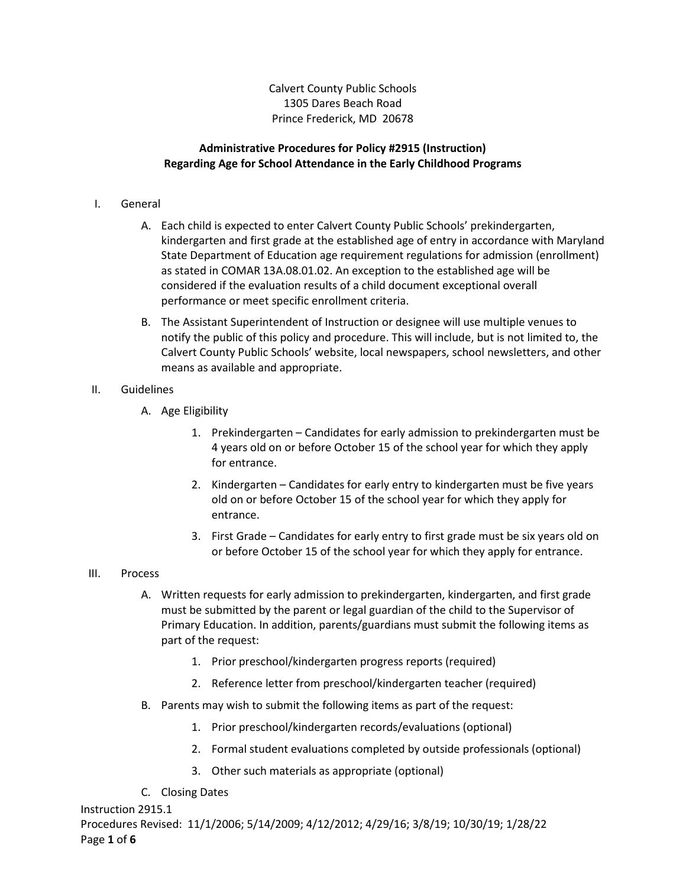Calvert County Public Schools 1305 Dares Beach Road Prince Frederick, MD 20678

## **Administrative Procedures for Policy #2915 (Instruction) Regarding Age for School Attendance in the Early Childhood Programs**

## I. General

- A. Each child is expected to enter Calvert County Public Schools' prekindergarten, kindergarten and first grade at the established age of entry in accordance with Maryland State Department of Education age requirement regulations for admission (enrollment) as stated in COMAR 13A.08.01.02. An exception to the established age will be considered if the evaluation results of a child document exceptional overall performance or meet specific enrollment criteria.
- B. The Assistant Superintendent of Instruction or designee will use multiple venues to notify the public of this policy and procedure. This will include, but is not limited to, the Calvert County Public Schools' website, local newspapers, school newsletters, and other means as available and appropriate.

## II. Guidelines

- A. Age Eligibility
	- 1. Prekindergarten Candidates for early admission to prekindergarten must be 4 years old on or before October 15 of the school year for which they apply for entrance.
	- 2. Kindergarten Candidates for early entry to kindergarten must be five years old on or before October 15 of the school year for which they apply for entrance.
	- 3. First Grade Candidates for early entry to first grade must be six years old on or before October 15 of the school year for which they apply for entrance.

## III. Process

- A. Written requests for early admission to prekindergarten, kindergarten, and first grade must be submitted by the parent or legal guardian of the child to the Supervisor of Primary Education. In addition, parents/guardians must submit the following items as part of the request:
	- 1. Prior preschool/kindergarten progress reports (required)
	- 2. Reference letter from preschool/kindergarten teacher (required)
- B. Parents may wish to submit the following items as part of the request:
	- 1. Prior preschool/kindergarten records/evaluations (optional)
	- 2. Formal student evaluations completed by outside professionals (optional)
	- 3. Other such materials as appropriate (optional)
- C. Closing Dates

Instruction 2915.1 Procedures Revised: 11/1/2006; 5/14/2009; 4/12/2012; 4/29/16; 3/8/19; 10/30/19; 1/28/22 Page **1** of **6**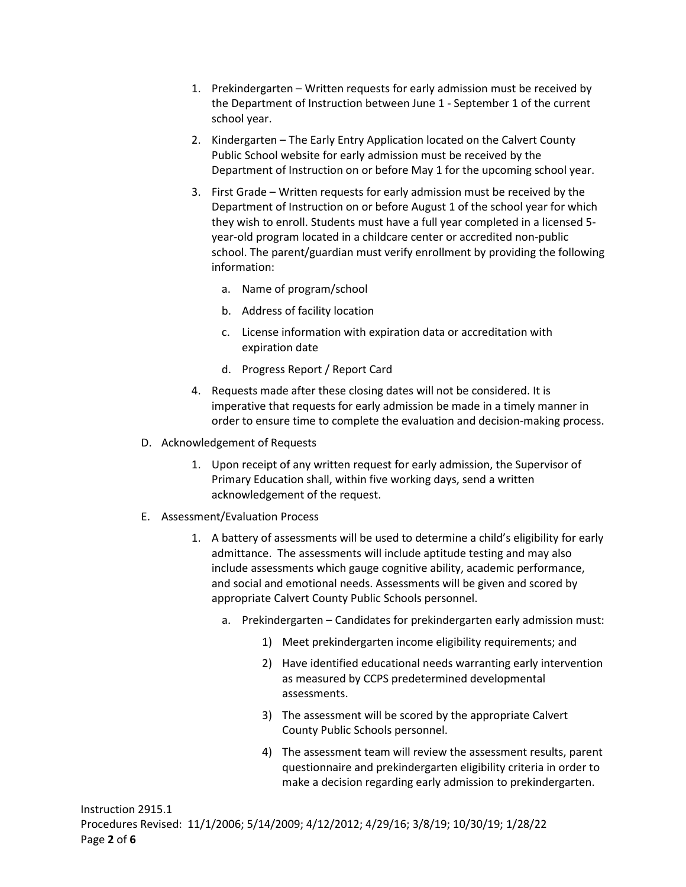- 1. Prekindergarten Written requests for early admission must be received by the Department of Instruction between June 1 - September 1 of the current school year.
- 2. Kindergarten The Early Entry Application located on the Calvert County Public School website for early admission must be received by the Department of Instruction on or before May 1 for the upcoming school year.
- 3. First Grade Written requests for early admission must be received by the Department of Instruction on or before August 1 of the school year for which they wish to enroll. Students must have a full year completed in a licensed 5 year-old program located in a childcare center or accredited non-public school. The parent/guardian must verify enrollment by providing the following information:
	- a. Name of program/school
	- b. Address of facility location
	- c. License information with expiration data or accreditation with expiration date
	- d. Progress Report / Report Card
- 4. Requests made after these closing dates will not be considered. It is imperative that requests for early admission be made in a timely manner in order to ensure time to complete the evaluation and decision-making process.
- D. Acknowledgement of Requests
	- 1. Upon receipt of any written request for early admission, the Supervisor of Primary Education shall, within five working days, send a written acknowledgement of the request.
- E. Assessment/Evaluation Process
	- 1. A battery of assessments will be used to determine a child's eligibility for early admittance. The assessments will include aptitude testing and may also include assessments which gauge cognitive ability, academic performance, and social and emotional needs. Assessments will be given and scored by appropriate Calvert County Public Schools personnel.
		- a. Prekindergarten Candidates for prekindergarten early admission must:
			- 1) Meet prekindergarten income eligibility requirements; and
			- 2) Have identified educational needs warranting early intervention as measured by CCPS predetermined developmental assessments.
			- 3) The assessment will be scored by the appropriate Calvert County Public Schools personnel.
			- 4) The assessment team will review the assessment results, parent questionnaire and prekindergarten eligibility criteria in order to make a decision regarding early admission to prekindergarten.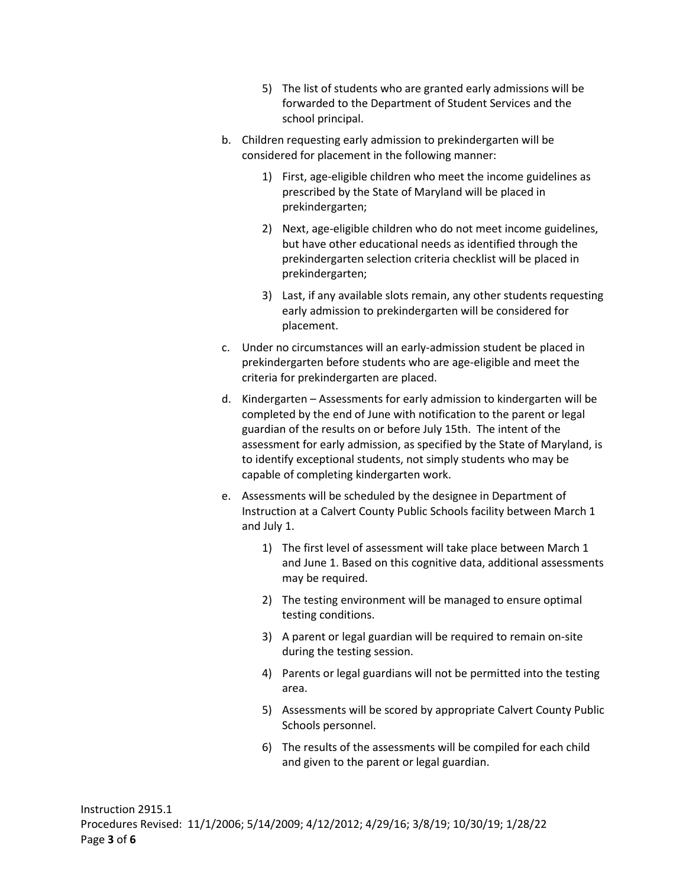- 5) The list of students who are granted early admissions will be forwarded to the Department of Student Services and the school principal.
- b. Children requesting early admission to prekindergarten will be considered for placement in the following manner:
	- 1) First, age-eligible children who meet the income guidelines as prescribed by the State of Maryland will be placed in prekindergarten;
	- 2) Next, age-eligible children who do not meet income guidelines, but have other educational needs as identified through the prekindergarten selection criteria checklist will be placed in prekindergarten;
	- 3) Last, if any available slots remain, any other students requesting early admission to prekindergarten will be considered for placement.
- c. Under no circumstances will an early-admission student be placed in prekindergarten before students who are age-eligible and meet the criteria for prekindergarten are placed.
- d. Kindergarten Assessments for early admission to kindergarten will be completed by the end of June with notification to the parent or legal guardian of the results on or before July 15th. The intent of the assessment for early admission, as specified by the State of Maryland, is to identify exceptional students, not simply students who may be capable of completing kindergarten work.
- e. Assessments will be scheduled by the designee in Department of Instruction at a Calvert County Public Schools facility between March 1 and July 1.
	- 1) The first level of assessment will take place between March 1 and June 1. Based on this cognitive data, additional assessments may be required.
	- 2) The testing environment will be managed to ensure optimal testing conditions.
	- 3) A parent or legal guardian will be required to remain on-site during the testing session.
	- 4) Parents or legal guardians will not be permitted into the testing area.
	- 5) Assessments will be scored by appropriate Calvert County Public Schools personnel.
	- 6) The results of the assessments will be compiled for each child and given to the parent or legal guardian.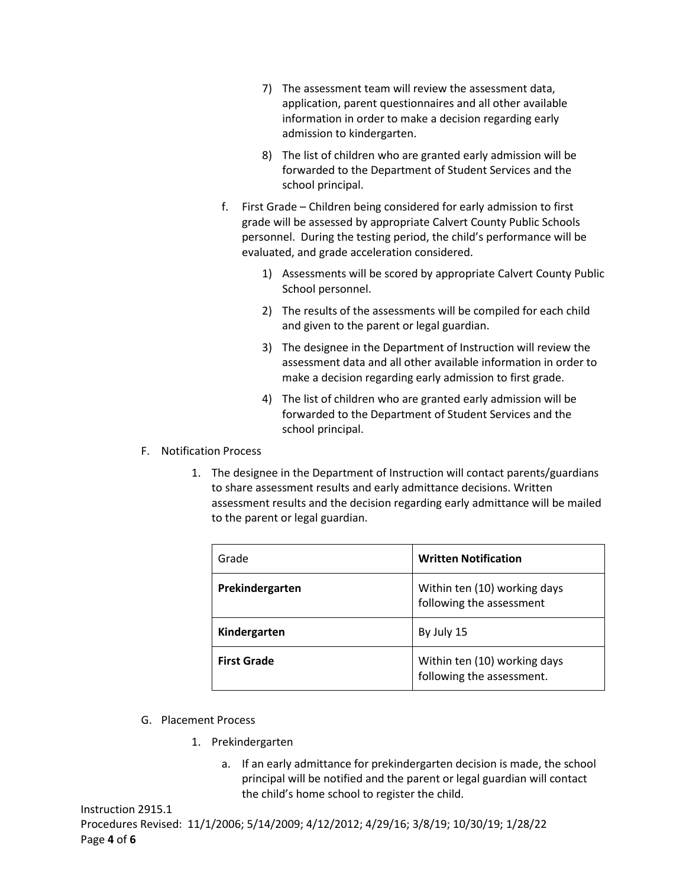- 7) The assessment team will review the assessment data, application, parent questionnaires and all other available information in order to make a decision regarding early admission to kindergarten.
- 8) The list of children who are granted early admission will be forwarded to the Department of Student Services and the school principal.
- f. First Grade Children being considered for early admission to first grade will be assessed by appropriate Calvert County Public Schools personnel. During the testing period, the child's performance will be evaluated, and grade acceleration considered.
	- 1) Assessments will be scored by appropriate Calvert County Public School personnel.
	- 2) The results of the assessments will be compiled for each child and given to the parent or legal guardian.
	- 3) The designee in the Department of Instruction will review the assessment data and all other available information in order to make a decision regarding early admission to first grade.
	- 4) The list of children who are granted early admission will be forwarded to the Department of Student Services and the school principal.
- F. Notification Process
	- 1. The designee in the Department of Instruction will contact parents/guardians to share assessment results and early admittance decisions. Written assessment results and the decision regarding early admittance will be mailed to the parent or legal guardian.

| Grade              | <b>Written Notification</b>                               |
|--------------------|-----------------------------------------------------------|
| Prekindergarten    | Within ten (10) working days<br>following the assessment  |
| Kindergarten       | By July 15                                                |
| <b>First Grade</b> | Within ten (10) working days<br>following the assessment. |

- G. Placement Process
	- 1. Prekindergarten
		- a. If an early admittance for prekindergarten decision is made, the school principal will be notified and the parent or legal guardian will contact the child's home school to register the child.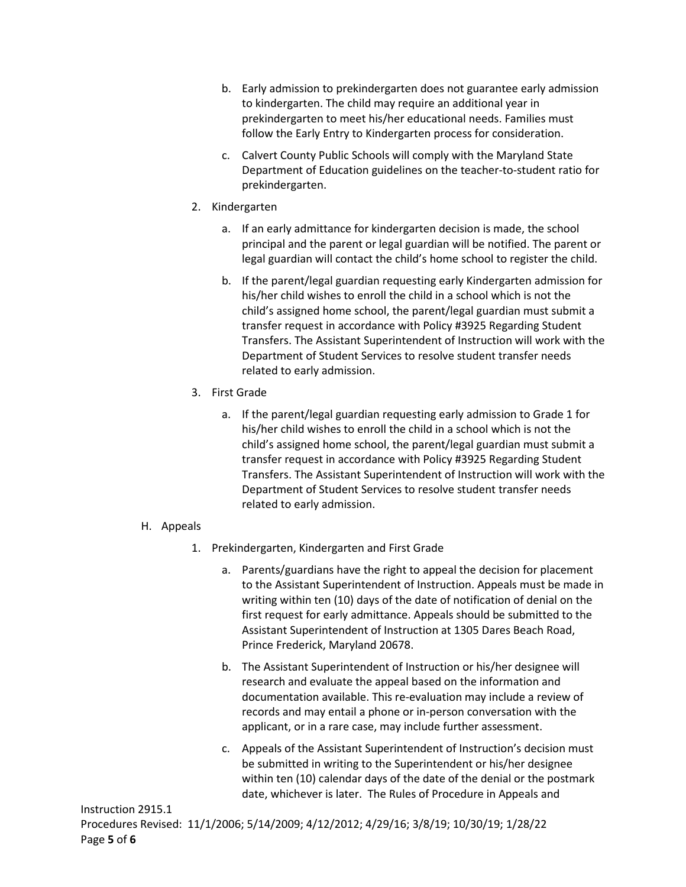- b. Early admission to prekindergarten does not guarantee early admission to kindergarten. The child may require an additional year in prekindergarten to meet his/her educational needs. Families must follow the Early Entry to Kindergarten process for consideration.
- c. Calvert County Public Schools will comply with the Maryland State Department of Education guidelines on the teacher-to-student ratio for prekindergarten.
- 2. Kindergarten
	- a. If an early admittance for kindergarten decision is made, the school principal and the parent or legal guardian will be notified. The parent or legal guardian will contact the child's home school to register the child.
	- b. If the parent/legal guardian requesting early Kindergarten admission for his/her child wishes to enroll the child in a school which is not the child's assigned home school, the parent/legal guardian must submit a transfer request in accordance with Policy #3925 Regarding Student Transfers. The Assistant Superintendent of Instruction will work with the Department of Student Services to resolve student transfer needs related to early admission.
- 3. First Grade
	- a. If the parent/legal guardian requesting early admission to Grade 1 for his/her child wishes to enroll the child in a school which is not the child's assigned home school, the parent/legal guardian must submit a transfer request in accordance with Policy #3925 Regarding Student Transfers. The Assistant Superintendent of Instruction will work with the Department of Student Services to resolve student transfer needs related to early admission.
- H. Appeals
	- 1. Prekindergarten, Kindergarten and First Grade
		- a. Parents/guardians have the right to appeal the decision for placement to the Assistant Superintendent of Instruction. Appeals must be made in writing within ten (10) days of the date of notification of denial on the first request for early admittance. Appeals should be submitted to the Assistant Superintendent of Instruction at 1305 Dares Beach Road, Prince Frederick, Maryland 20678.
		- b. The Assistant Superintendent of Instruction or his/her designee will research and evaluate the appeal based on the information and documentation available. This re-evaluation may include a review of records and may entail a phone or in-person conversation with the applicant, or in a rare case, may include further assessment.
		- c. Appeals of the Assistant Superintendent of Instruction's decision must be submitted in writing to the Superintendent or his/her designee within ten (10) calendar days of the date of the denial or the postmark date, whichever is later. The Rules of Procedure in Appeals and